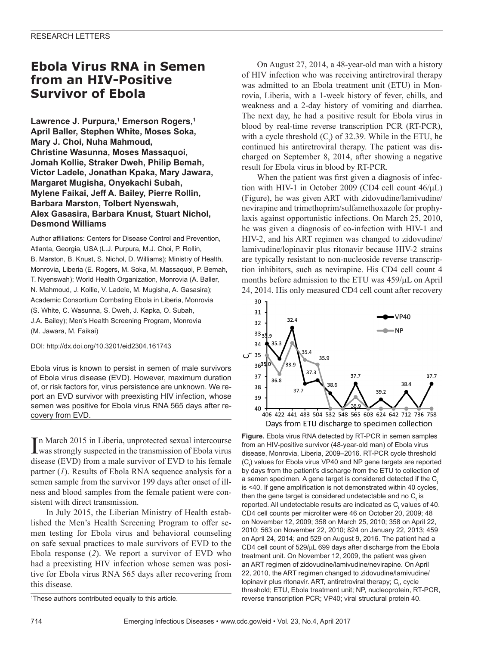## **Ebola Virus RNA in Semen from an HIV-Positive Survivor of Ebola**

**Lawrence J. Purpura,1 Emerson Rogers,<sup>1</sup> April Baller, Stephen White, Moses Soka, Mary J. Choi, Nuha Mahmoud, Christine Wasunna, Moses Massaquoi, Jomah Kollie, Straker Dweh, Philip Bemah, Victor Ladele, Jonathan Kpaka, Mary Jawara, Margaret Mugisha, Onyekachi Subah, Mylene Faikai, Jeff A. Bailey, Pierre Rollin, Barbara Marston, Tolbert Nyenswah, Alex Gasasira, Barbara Knust, Stuart Nichol, Desmond Williams**

Author affiliations: Centers for Disease Control and Prevention, Atlanta, Georgia, USA (L.J. Purpura, M.J. Choi, P. Rollin, B. Marston, B. Knust, S. Nichol, D. Williams); Ministry of Health, Monrovia, Liberia (E. Rogers, M. Soka, M. Massaquoi, P. Bemah, T. Nyenswah); World Health Organization, Monrovia (A. Baller, N. Mahmoud, J. Kollie, V. Ladele, M. Mugisha, A. Gasasira); Academic Consortium Combating Ebola in Liberia, Monrovia (S. White, C. Wasunna, S. Dweh, J. Kapka, O. Subah, J.A. Bailey); Men's Health Screening Program, Monrovia (M. Jawara, M. Faikai)

DOI: http://dx.doi.org/10.3201/eid2304.161743

Ebola virus is known to persist in semen of male survivors of Ebola virus disease (EVD). However, maximum duration of, or risk factors for, virus persistence are unknown. We report an EVD survivor with preexisting HIV infection, whose semen was positive for Ebola virus RNA 565 days after recovery from EVD.

In March 2015 in Liberia, unprotected sexual intercourse<br>was strongly suspected in the transmission of Ebola virus n March 2015 in Liberia, unprotected sexual intercourse disease (EVD) from a male survivor of EVD to his female partner (*1*). Results of Ebola RNA sequence analysis for a semen sample from the survivor 199 days after onset of illness and blood samples from the female patient were consistent with direct transmission.

In July 2015, the Liberian Ministry of Health established the Men's Health Screening Program to offer semen testing for Ebola virus and behavioral counseling on safe sexual practices to male survivors of EVD to the Ebola response (*2*). We report a survivor of EVD who had a preexisting HIV infection whose semen was positive for Ebola virus RNA 565 days after recovering from this disease.

On August 27, 2014, a 48-year-old man with a history of HIV infection who was receiving antiretroviral therapy was admitted to an Ebola treatment unit (ETU) in Monrovia, Liberia, with a 1-week history of fever, chills, and weakness and a 2-day history of vomiting and diarrhea. The next day, he had a positive result for Ebola virus in blood by real-time reverse transcription PCR (RT-PCR), with a cycle threshold  $(C_t)$  of 32.39. While in the ETU, he continued his antiretroviral therapy. The patient was discharged on September 8, 2014, after showing a negative result for Ebola virus in blood by RT-PCR.

When the patient was first given a diagnosis of infection with HIV-1 in October 2009 (CD4 cell count 46/µL) (Figure), he was given ART with zidovudine/lamivudine/ nevirapine and trimethoprim/sulfamethoxazole for prophylaxis against opportunistic infections. On March 25, 2010, he was given a diagnosis of co-infection with HIV-1 and HIV-2, and his ART regimen was changed to zidovudine/ lamivudine/lopinavir plus ritonavir because HIV-2 strains are typically resistant to non-nucleoside reverse transcription inhibitors, such as nevirapine. His CD4 cell count 4 months before admission to the ETU was 459/µL on April 24, 2014. His only measured CD4 cell count after recovery



**Figure.** Ebola virus RNA detected by RT-PCR in semen samples from an HIV-positive survivor (48-year-old man) of Ebola virus disease, Monrovia, Liberia, 2009–2016. RT-PCR cycle threshold (C<sub>t</sub>) values for Ebola virus VP40 and NP gene targets are reported by days from the patient's discharge from the ETU to collection of a semen specimen. A gene target is considered detected if the  $C<sub>t</sub>$ is <40. If gene amplification is not demonstrated within 40 cycles, then the gene target is considered undetectable and no  $\mathsf{C}_\mathsf{t}$  is reported. All undetectable results are indicated as  $\mathsf{C}_\mathsf{t}$  values of 40. CD4 cell counts per microliter were 46 on October 20, 2009; 48 on November 12, 2009; 358 on March 25, 2010; 358 on April 22, 2010; 563 on November 22, 2010; 824 on January 22, 2013; 459 on April 24, 2014; and 529 on August 9, 2016. The patient had a CD4 cell count of 529/µL 699 days after discharge from the Ebola treatment unit. On November 12, 2009, the patient was given an ART regimen of zidovudine/lamivudine/nevirapine. On April 22, 2010, the ART regimen changed to zidovudine/lamivudine/ lopinavir plus ritonavir. ART, antiretroviral therapy; C<sub>į</sub>, cycle threshold; ETU, Ebola treatment unit; NP, nucleoprotein, RT-PCR, reverse transcription PCR; VP40; viral structural protein 40.

<sup>1</sup> These authors contributed equally to this article.